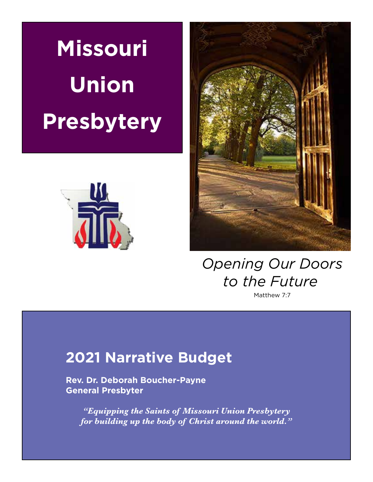**Missouri Union Presbytery**





*Opening Our Doors to the Future*

Matthew 7:7

## **2021 Narrative Budget**

 **Rev. Dr. Deborah Boucher-Payne General Presbyter**

*"Equipping the Saints of Missouri Union Presbytery for building up the body of Christ around the world."*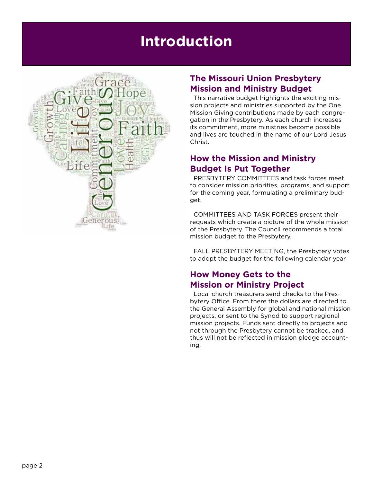## **Introduction**



### **The Missouri Union Presbytery Mission and Ministry Budget**

This narrative budget highlights the exciting mission projects and ministries supported by the One Mission Giving contributions made by each congregation in the Presbytery. As each church increases its commitment, more ministries become possible and lives are touched in the name of our Lord Jesus Christ.

### **How the Mission and Ministry Budget Is Put Together**

PRESBYTERY COMMITTEES and task forces meet to consider mission priorities, programs, and support for the coming year, formulating a preliminary budget.

COMMITTEES AND TASK FORCES present their requests which create a picture of the whole mission of the Presbytery. The Council recommends a total mission budget to the Presbytery.

FALL PRESBYTERY MEETING, the Presbytery votes to adopt the budget for the following calendar year.

### **How Money Gets to the Mission or Ministry Project**

Local church treasurers send checks to the Presbytery Office. From there the dollars are directed to the General Assembly for global and national mission projects, or sent to the Synod to support regional mission projects. Funds sent directly to projects and not through the Presbytery cannot be tracked, and thus will not be reflected in mission pledge accounting.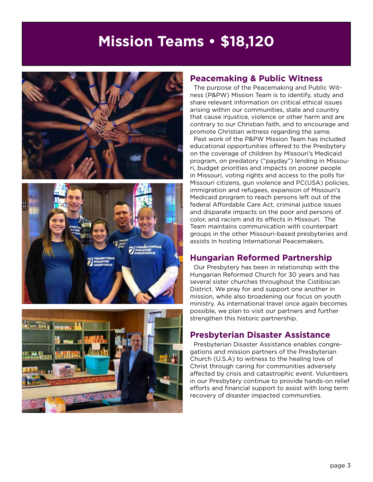## **Mission Teams • \$18,120**







#### **Peacemaking & Public Witness**

The purpose of the Peacemaking and Public Witness (P&PW) Mission Team is to identify, study and share relevant information on critical ethical issues arising within our communities, state and country that cause injustice, violence or other harm and are contrary to our Christian faith, and to encourage and promote Christian witness regarding the same.

Past work of the P&PW Mission Team has included educational opportunities offered to the Presbytery on the coverage of children by Missouri's Medicaid program, on predatory ("payday") lending in Missouri, budget priorities and impacts on poorer people in Missouri, voting rights and access to the polls for Missouri citizens, gun violence and PC(USA) policies, immigration and refugees, expansion of Missouri's Medicaid program to reach persons left out of the federal Affordable Care Act, criminal justice issues and disparate impacts on the poor and persons of color, and racism and its effects in Missouri. The Team maintains communication with counterpart groups in the other Missouri-based presbyteries and assists in hosting International Peacemakers.

### **Hungarian Reformed Partnership**

Our Presbytery has been in relationship with the Hungarian Reformed Church for 30 years and has several sister churches throughout the Cistibiscan District. We pray for and support one another in mission, while also broadening our focus on youth ministry. As international travel once again becomes possible, we plan to visit our partners and further strengthen this historic partnership.

#### **Presbyterian Disaster Assistance**

Presbyterian Disaster Assistance enables congregations and mission partners of the Presbyterian Church (U.S.A) to witness to the healing love of Christ through caring for communities adversely affected by crisis and catastrophic event. Volunteers in our Presbytery continue to provide hands-on relief efforts and financial support to assist with long term recovery of disaster impacted communities.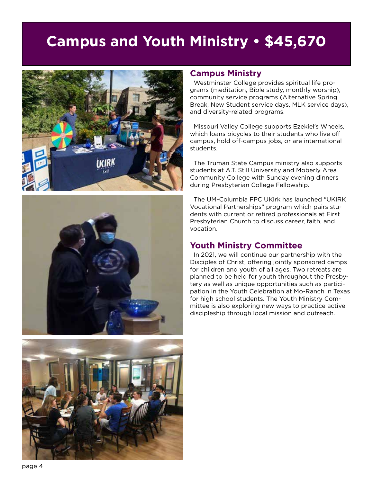## **Campus and Youth Ministry • \$45,670**







#### **Campus Ministry**

Westminster College provides spiritual life programs (meditation, Bible study, monthly worship), community service programs (Alternative Spring Break, New Student service days, MLK service days), and diversity-related programs.

Missouri Valley College supports Ezekiel's Wheels, which loans bicycles to their students who live off campus, hold off-campus jobs, or are international students.

The Truman State Campus ministry also supports students at A.T. Still University and Moberly Area Community College with Sunday evening dinners during Presbyterian College Fellowship.

The UM-Columbia FPC UKirk has launched "UKIRK Vocational Partnerships" program which pairs students with current or retired professionals at First Presbyterian Church to discuss career, faith, and vocation.

#### **Youth Ministry Committee**

In 2021, we will continue our partnership with the Disciples of Christ, offering jointly sponsored camps for children and youth of all ages. Two retreats are planned to be held for youth throughout the Presbytery as well as unique opportunities such as participation in the Youth Celebration at Mo-Ranch in Texas for high school students. The Youth Ministry Committee is also exploring new ways to practice active discipleship through local mission and outreach.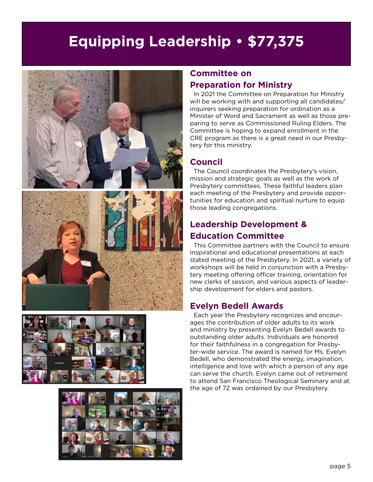# **Equipping Leadership • \$77,375**







### **Committee on Preparation for Ministry**

In 2021 the Committee on Preparation for Ministry will be working with and supporting all candidates/ inquirers seeking preparation for ordination as a Minister of Word and Sacrament as well as those preparing to serve as Commissioned Ruling Elders. The Committee is hoping to expand enrollment in the CRE program as there is a great need in our Presbytery for this ministry.

### **Council**

The Council coordinates the Presbytery's vision, mission and strategic goals as well as the work of Presbytery committees. These faithful leaders plan each meeting of the Presbytery and provide opportunities for education and spiritual nurture to equip those leading congregations.

### **Leadership Development & Education Committee**

This Committee partners with the Council to ensure inspirational and educational presentations at each stated meeting of the Presbytery. In 2021, a variety of workshops will be held in conjunction with a Presbytery meeting offering officer training, orientation for new clerks of session, and various aspects of leadership development for elders and pastors.

### **Evelyn Bedell Awards**

Each year the Presbytery recognizes and encourages the contribution of older adults to its work and ministry by presenting Evelyn Bedell awards to outstanding older adults. Individuals are honored for their faithfulness in a congregation for Presbyter-wide service. The award is named for Ms. Evelyn Bedell, who demonstrated the energy, imagination, intelligence and love with which a person of any age can serve the church. Evelyn came out of retirement to attend San Francisco Theological Seminary and at the age of 72 was ordained by our Presbytery.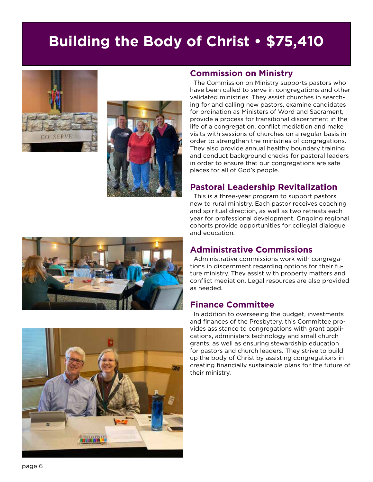## **Building the Body of Christ • \$75,410**





#### **Commission on Ministry**

The Commission on Ministry supports pastors who have been called to serve in congregations and other validated ministries. They assist churches in searching for and calling new pastors, examine candidates for ordination as Ministers of Word and Sacrament, provide a process for transitional discernment in the life of a congregation, conflict mediation and make visits with sessions of churches on a regular basis in order to strengthen the ministries of congregations. They also provide annual healthy boundary training and conduct background checks for pastoral leaders in order to ensure that our congregations are safe places for all of God's people.

#### **Pastoral Leadership Revitalization**

This is a three-year program to support pastors new to rural ministry. Each pastor receives coaching and spiritual direction, as well as two retreats each year for professional development. Ongoing regional cohorts provide opportunities for collegial dialogue and education.

#### **Administrative Commissions**

Administrative commissions work with congregations in discernment regarding options for their future ministry. They assist with property matters and conflict mediation. Legal resources are also provided as needed.

#### **Finance Committee**

In addition to overseeing the budget, investments and finances of the Presbytery, this Committee provides assistance to congregations with grant applications, administers technology and small church grants, as well as ensuring stewardship education for pastors and church leaders. They strive to build up the body of Christ by assisting congregations in creating financially sustainable plans for the future of their ministry.



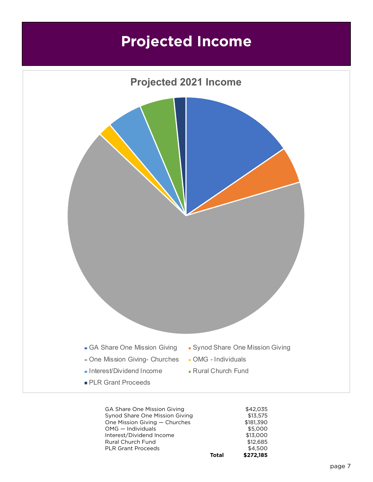## **Projected Income**



GA Share One Mission Giving 642,035 Synod Share One Mission Giving \$13,575 One Mission Giving — Churches  $$181,390$ OMG — Individuals  $$5,000$ Interest/Dividend Income \$13,000 Rural Church Fund \$12,685 PLR Grant Proceeds \$4,500 **Total \$272,185**